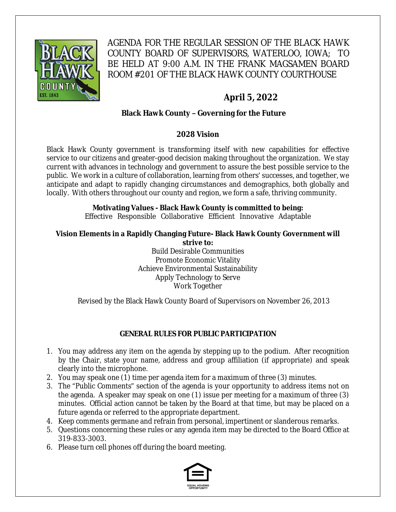

AGENDA FOR THE REGULAR SESSION OF THE BLACK HAWK COUNTY BOARD OF SUPERVISORS, WATERLOO, IOWA; TO BE HELD AT 9:00 A.M. IN THE FRANK MAGSAMEN BOARD ROOM #201 OF THE BLACK HAWK COUNTY COURTHOUSE

# **April 5, 2022**

# **Black Hawk County – Governing for the Future**

#### **2028 Vision**

Black Hawk County government is transforming itself with new capabilities for effective service to our citizens and greater-good decision making throughout the organization. We stay current with advances in technology and government to assure the best possible service to the public. We work in a culture of collaboration, learning from others' successes, and together, we anticipate and adapt to rapidly changing circumstances and demographics, both globally and locally. With others throughout our county and region, we form a safe, thriving community.

# **Motivating Values - Black Hawk County is committed to being:**

Effective Responsible Collaborative Efficient Innovative Adaptable

#### **Vision Elements in a Rapidly Changing Future- Black Hawk County Government will strive to:**

Build Desirable Communities Promote Economic Vitality Achieve Environmental Sustainability Apply Technology to Serve Work Together

Revised by the Black Hawk County Board of Supervisors on November 26, 2013

## **GENERAL RULES FOR PUBLIC PARTICIPATION**

- 1. You may address any item on the agenda by stepping up to the podium. After recognition by the Chair, state your name, address and group affiliation (if appropriate) and speak clearly into the microphone.
- 2. You may speak one (1) time per agenda item for a maximum of three (3) minutes.
- 3. The "Public Comments" section of the agenda is your opportunity to address items not on the agenda. A speaker may speak on one (1) issue per meeting for a maximum of three (3) minutes. Official action cannot be taken by the Board at that time, but may be placed on a future agenda or referred to the appropriate department.
- 4. Keep comments germane and refrain from personal, impertinent or slanderous remarks.
- 5. Questions concerning these rules or any agenda item may be directed to the Board Office at 319-833-3003.
- 6. Please turn cell phones off during the board meeting.

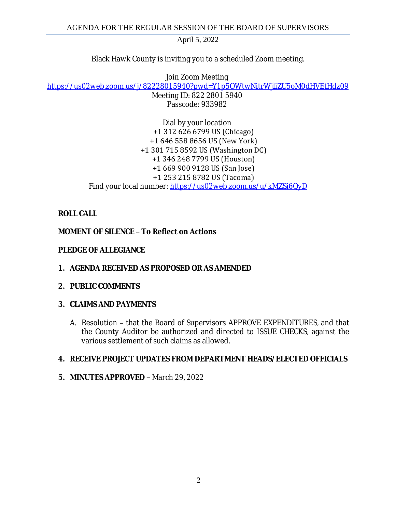Black Hawk County is inviting you to a scheduled Zoom meeting.

Join Zoom Meeting [https://us02web.zoom.us/j/82228015940?pwd=Y1p5OWtwNitrWjliZU5oM0dHVEtHdz09](https://gcc02.safelinks.protection.outlook.com/?url=https%3A%2F%2Fus02web.zoom.us%2Fj%2F82228015940%3Fpwd%3DY1p5OWtwNitrWjliZU5oM0dHVEtHdz09&data=04%7C01%7Ckzwanziger%40blackhawkcounty.iowa.gov%7Ce0be7a0403184f008bff08da124af923%7C9960f5b6faae4bb3a122c43aceeaa06d%7C0%7C0%7C637842410453831147%7CUnknown%7CTWFpbGZsb3d8eyJWIjoiMC4wLjAwMDAiLCJQIjoiV2luMzIiLCJBTiI6Ik1haWwiLCJXVCI6Mn0%3D%7C3000&sdata=3BhTkGz2hASi3QlOVxMveNUCi%2BYg59QqYcXaCEdVBl4%3D&reserved=0)

Meeting ID: 822 2801 5940 Passcode: 933982

Dial by your location +1 312 626 6799 US (Chicago) +1 646 558 8656 US (New York) +1 301 715 8592 US (Washington DC) +1 346 248 7799 US (Houston) +1 669 900 9128 US (San Jose) +1 253 215 8782 US (Tacoma) Find your local number: [https://us02web.zoom.us/u/kMZSi6QyD](https://gcc02.safelinks.protection.outlook.com/?url=https%3A%2F%2Fus02web.zoom.us%2Fu%2FkMZSi6QyD&data=04%7C01%7Ckzwanziger%40blackhawkcounty.iowa.gov%7Ce0be7a0403184f008bff08da124af923%7C9960f5b6faae4bb3a122c43aceeaa06d%7C0%7C0%7C637842410453831147%7CUnknown%7CTWFpbGZsb3d8eyJWIjoiMC4wLjAwMDAiLCJQIjoiV2luMzIiLCJBTiI6Ik1haWwiLCJXVCI6Mn0%3D%7C3000&sdata=dbXQbnr7Dz%2Bk9zz1biqsslFEdL5p%2BIZ4RLvuk%2FNACOI%3D&reserved=0)

# **ROLL CALL**

## **MOMENT OF SILENCE – To Reflect on Actions**

## **PLEDGE OF ALLEGIANCE**

**1. AGENDA RECEIVED AS PROPOSED OR AS AMENDED**

## **2. PUBLIC COMMENTS**

## **3. CLAIMS AND PAYMENTS**

A. Resolution **–** that the Board of Supervisors APPROVE EXPENDITURES, and that the County Auditor be authorized and directed to ISSUE CHECKS, against the various settlement of such claims as allowed.

## **4. RECEIVE PROJECT UPDATES FROM DEPARTMENT HEADS/ELECTED OFFICIALS**

**5. MINUTES APPROVED –** March 29, 2022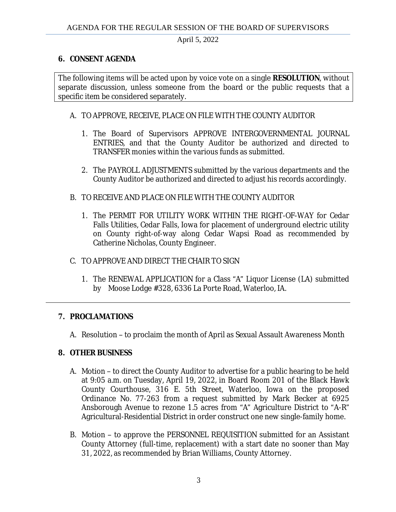#### **6. CONSENT AGENDA**

The following items will be acted upon by voice vote on a single **RESOLUTION**, without separate discussion, unless someone from the board or the public requests that a specific item be considered separately.

#### A. TO APPROVE, RECEIVE, PLACE ON FILE WITH THE COUNTY AUDITOR

- 1. The Board of Supervisors APPROVE INTERGOVERNMENTAL JOURNAL ENTRIES, and that the County Auditor be authorized and directed to TRANSFER monies within the various funds as submitted.
- 2. The PAYROLL ADJUSTMENTS submitted by the various departments and the County Auditor be authorized and directed to adjust his records accordingly.
- B. TO RECEIVE AND PLACE ON FILE WITH THE COUNTY AUDITOR
	- 1. The PERMIT FOR UTILITY WORK WITHIN THE RIGHT-OF-WAY for Cedar Falls Utilities, Cedar Falls, Iowa for placement of underground electric utility on County right-of-way along Cedar Wapsi Road as recommended by Catherine Nicholas, County Engineer.
- C. TO APPROVE AND DIRECT THE CHAIR TO SIGN
	- 1. The RENEWAL APPLICATION for a Class "A" Liquor License (LA) submitted by Moose Lodge #328, 6336 La Porte Road, Waterloo, IA.

#### **7. PROCLAMATIONS**

A. Resolution – to proclaim the month of April as Sexual Assault Awareness Month

#### **8. OTHER BUSINESS**

- A. Motion to direct the County Auditor to advertise for a public hearing to be held at 9:05 a.m. on Tuesday, April 19, 2022, in Board Room 201 of the Black Hawk County Courthouse, 316 E. 5th Street, Waterloo, Iowa on the proposed Ordinance No. 77-263 from a request submitted by Mark Becker at 6925 Ansborough Avenue to rezone 1.5 acres from "A" Agriculture District to "A-R" Agricultural-Residential District in order construct one new single-family home.
- B. Motion to approve the PERSONNEL REQUISITION submitted for an Assistant County Attorney (full-time, replacement) with a start date no sooner than May 31, 2022, as recommended by Brian Williams, County Attorney.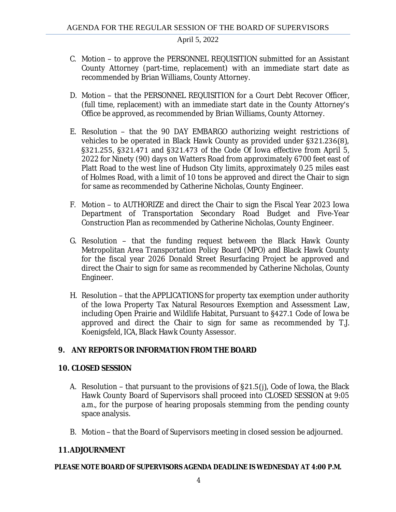- C. Motion to approve the PERSONNEL REQUISITION submitted for an Assistant County Attorney (part-time, replacement) with an immediate start date as recommended by Brian Williams, County Attorney.
- D. Motion that the PERSONNEL REQUISITION for a Court Debt Recover Officer, (full time, replacement) with an immediate start date in the County Attorney's Office be approved, as recommended by Brian Williams, County Attorney.
- E. Resolution that the 90 DAY EMBARGO authorizing weight restrictions of vehicles to be operated in Black Hawk County as provided under §321.236(8), §321.255, §321.471 and §321.473 of the Code Of Iowa effective from April 5, 2022 for Ninety (90) days on Watters Road from approximately 6700 feet east of Platt Road to the west line of Hudson City limits, approximately 0.25 miles east of Holmes Road, with a limit of 10 tons be approved and direct the Chair to sign for same as recommended by Catherine Nicholas, County Engineer.
- F. Motion to AUTHORIZE and direct the Chair to sign the Fiscal Year 2023 Iowa Department of Transportation Secondary Road Budget and Five-Year Construction Plan as recommended by Catherine Nicholas, County Engineer.
- G. Resolution that the funding request between the Black Hawk County Metropolitan Area Transportation Policy Board (MPO) and Black Hawk County for the fiscal year 2026 Donald Street Resurfacing Project be approved and direct the Chair to sign for same as recommended by Catherine Nicholas, County Engineer.
- H. Resolution that the APPLICATIONS for property tax exemption under authority of the Iowa Property Tax Natural Resources Exemption and Assessment Law, including Open Prairie and Wildlife Habitat, Pursuant to §427.1 Code of Iowa be approved and direct the Chair to sign for same as recommended by T.J. Koenigsfeld, ICA, Black Hawk County Assessor.

## **9. ANY REPORTS OR INFORMATION FROM THE BOARD**

#### **10. CLOSED SESSION**

- A. Resolution that pursuant to the provisions of §21.5(j), Code of Iowa, the Black Hawk County Board of Supervisors shall proceed into CLOSED SESSION at 9:05 a.m., for the purpose of hearing proposals stemming from the pending county space analysis.
- B. Motion that the Board of Supervisors meeting in closed session be adjourned.

#### **11.ADJOURNMENT**

#### **PLEASE NOTE BOARD OF SUPERVISORS AGENDA DEADLINE IS WEDNESDAY AT 4:00 P.M.**